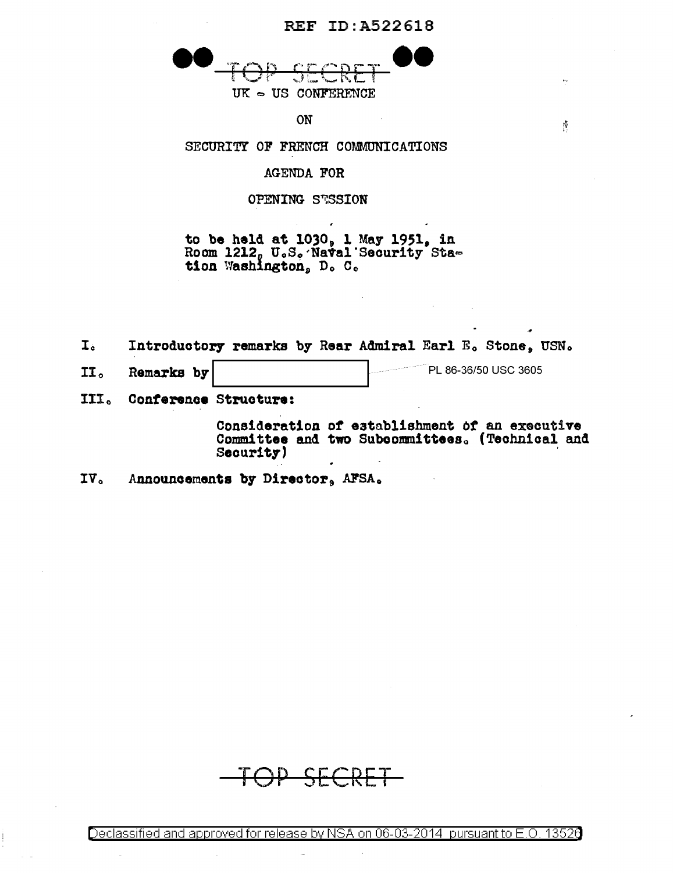

ON

SECURITY OF FRENCH COMMUNICATIONS

AGENDA FOR

OPENING STSSION

to be held at 1030, 1 May 1951, in Room 1212, U.S. Naval Security Station Washington, D. C.

 $I<sub>o</sub>$ Introductory remarks by Rear Admiral Earl E. Stone, USN.

- PL 86-36/50 USC 3605  $II<sub>0</sub>$ Remarks by
- III. Conference Structure:

Consideration of establishment of an executive Committee and two Subcommittees. (Technical and Security)

 $\tilde{p}$ 

Announcements by Director, AFSA. IV.

<del>P SECRE</del>

Declassified and approved for release by NSA on 06-03-2014 pursuant to E.O. 13526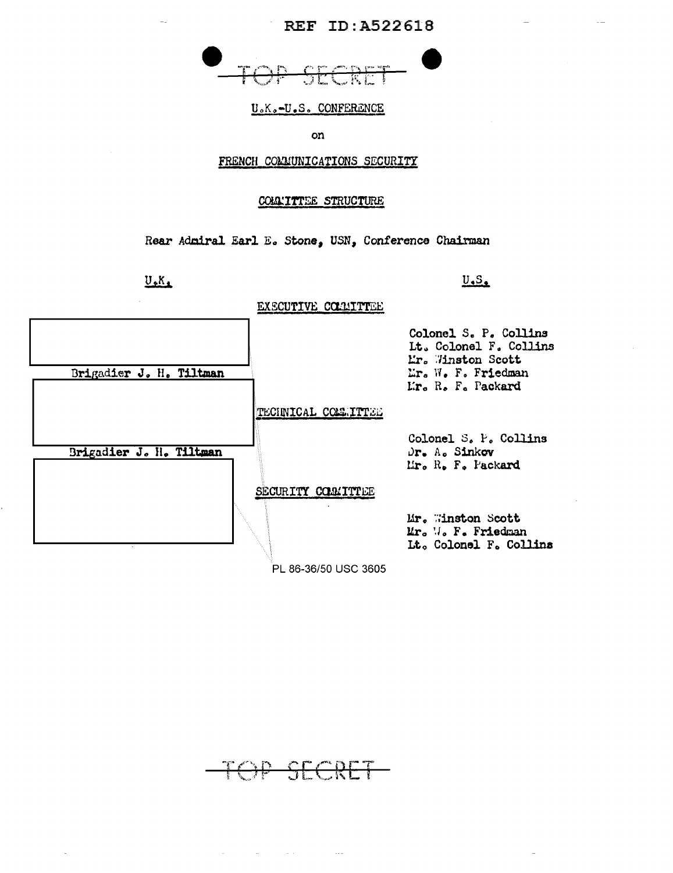

## U.K.-U.S. CONFERENCE

on

## FRENCH COMMUNICATIONS SECURITY

## COLLITTEE STRUCTURE

Rear Admiral Earl E. Stone, USN, Conference Chairman

 $U_{\bullet}K_{\bullet}$ 

## EXECUTIVE COMMITTEE

 $U<sub>•</sub>S<sub>•</sub>$ 



PL 86-36/50 USC 3605

$$
\overline{\phantom{a}+}\text{OPT}\hspace{0.05cm}\text{SECRET}
$$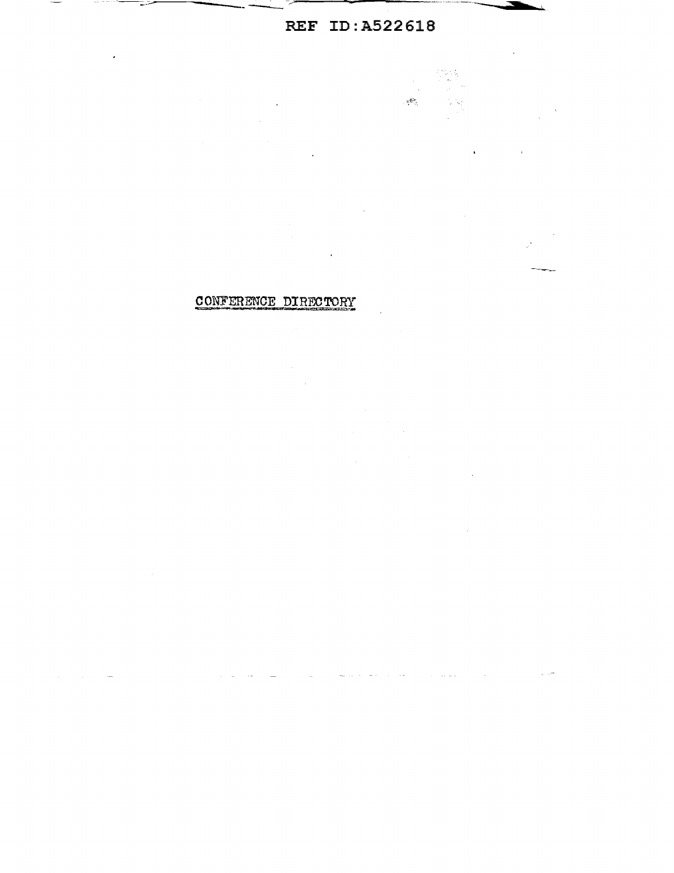$\Delta \sim 10$ 

 $\bar{\chi}$ 

 $\sim$ 

 $\omega_{\rm{th}}$ 

Q.  $\mu \sim 2$ 

 $\ddot{\phantom{a}}$ 

 $\sim$   $\sim$ 

 $\mathcal{L}^{\mathcal{L}}$  and the second contribution of the second contribution  $\mathcal{L}^{\mathcal{L}}$ 

 $\frac{1}{2}$ 

 $\mathcal{R}^{\bullet,\bullet}$ 

# CONFERENCE DIRECTORY

 $\sim$   $\omega$ 

 $\sim 10^7$ 

 $\frac{1}{2}$ 

 $\label{eq:2.1} \frac{1}{\sqrt{2}}\sum_{i=1}^n\frac{1}{\sqrt{2}}\left(\frac{1}{\sqrt{2}}\sum_{i=1}^n\frac{1}{\sqrt{2}}\right)\left(\frac{1}{\sqrt{2}}\sum_{i=1}^n\frac{1}{\sqrt{2}}\right).$ 

 $\mathcal{L}_{\rm eff}$ 

 $\sim 10$ 

 $\hat{\boldsymbol{\theta}}$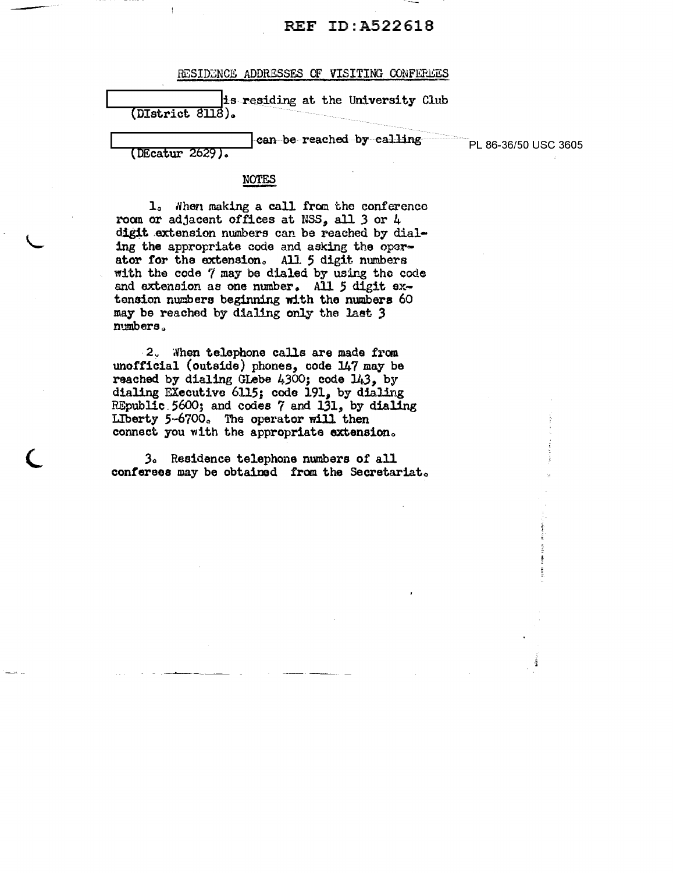### RESIDENCE ADDRESSES OF VISITING CONFEREES

|                  |  |  | is residing at the University Club |  |
|------------------|--|--|------------------------------------|--|
| (DIstrict 8118). |  |  |                                    |  |
|                  |  |  |                                    |  |
|                  |  |  | Lean he reached by calling         |  |

PL 86-36/50 USC 3605

(DEcatur 2629).

1. When making a call from the conference room or adjacent offices at NSS, all 3 or 4 digit extension numbers can be reached by dialing the appropriate code and asking the operator for the extension. All 5 digit numbers with the code 7 may be dialed by using the code and extension as one number. All 5 digit extension numbers beginning with the numbers 60 may be reached by dialing only the last 3 numbers.

**NOTES** 

2. When telephone calls are made from unofficial (outside) phones, code 147 may be reached by dialing GLebe 4,300; code 143, by dialing Executive 6115; code 191, by dialing REpublic 5600; and codes 7 and 131, by dialing Liberty 5-6700. The operator will then connect you with the appropriate extension.

3. Residence telephone numbers of all conferees may be obtained from the Secretariat.